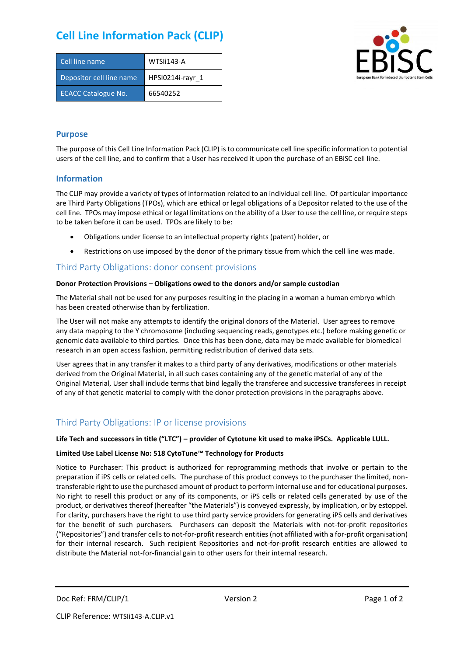# **Cell Line Information Pack (CLIP)**

| Cell line name             | WTSIi143-A       |
|----------------------------|------------------|
| Depositor cell line name   | HPSI0214i-rayr 1 |
| <b>ECACC Catalogue No.</b> | 66540252         |



#### **Purpose**

The purpose of this Cell Line Information Pack (CLIP) is to communicate cell line specific information to potential users of the cell line, and to confirm that a User has received it upon the purchase of an EBiSC cell line.

#### **Information**

The CLIP may provide a variety of types of information related to an individual cell line. Of particular importance are Third Party Obligations (TPOs), which are ethical or legal obligations of a Depositor related to the use of the cell line. TPOs may impose ethical or legal limitations on the ability of a User to use the cell line, or require steps to be taken before it can be used. TPOs are likely to be:

- Obligations under license to an intellectual property rights (patent) holder, or
- Restrictions on use imposed by the donor of the primary tissue from which the cell line was made.

### Third Party Obligations: donor consent provisions

#### **Donor Protection Provisions – Obligations owed to the donors and/or sample custodian**

The Material shall not be used for any purposes resulting in the placing in a woman a human embryo which has been created otherwise than by fertilization.

The User will not make any attempts to identify the original donors of the Material. User agrees to remove any data mapping to the Y chromosome (including sequencing reads, genotypes etc.) before making genetic or genomic data available to third parties. Once this has been done, data may be made available for biomedical research in an open access fashion, permitting redistribution of derived data sets.

User agrees that in any transfer it makes to a third party of any derivatives, modifications or other materials derived from the Original Material, in all such cases containing any of the genetic material of any of the Original Material, User shall include terms that bind legally the transferee and successive transferees in receipt of any of that genetic material to comply with the donor protection provisions in the paragraphs above.

## Third Party Obligations: IP or license provisions

#### **Life Tech and successors in title ("LTC") – provider of Cytotune kit used to make iPSCs. Applicable LULL.**

#### **Limited Use Label License No: 518 CytoTune™ Technology for Products**

Notice to Purchaser: This product is authorized for reprogramming methods that involve or pertain to the preparation if iPS cells or related cells. The purchase of this product conveys to the purchaser the limited, nontransferable right to use the purchased amount of product to perform internal use and for educational purposes. No right to resell this product or any of its components, or iPS cells or related cells generated by use of the product, or derivatives thereof (hereafter "the Materials") is conveyed expressly, by implication, or by estoppel. For clarity, purchasers have the right to use third party service providers for generating iPS cells and derivatives for the benefit of such purchasers. Purchasers can deposit the Materials with not-for-profit repositories ("Repositories") and transfer cells to not-for-profit research entities (not affiliated with a for-profit organisation) for their internal research. Such recipient Repositories and not-for-profit research entities are allowed to distribute the Material not-for-financial gain to other users for their internal research.

Doc Ref: FRM/CLIP/1 Version 2 Version 2 Page 1 of 2